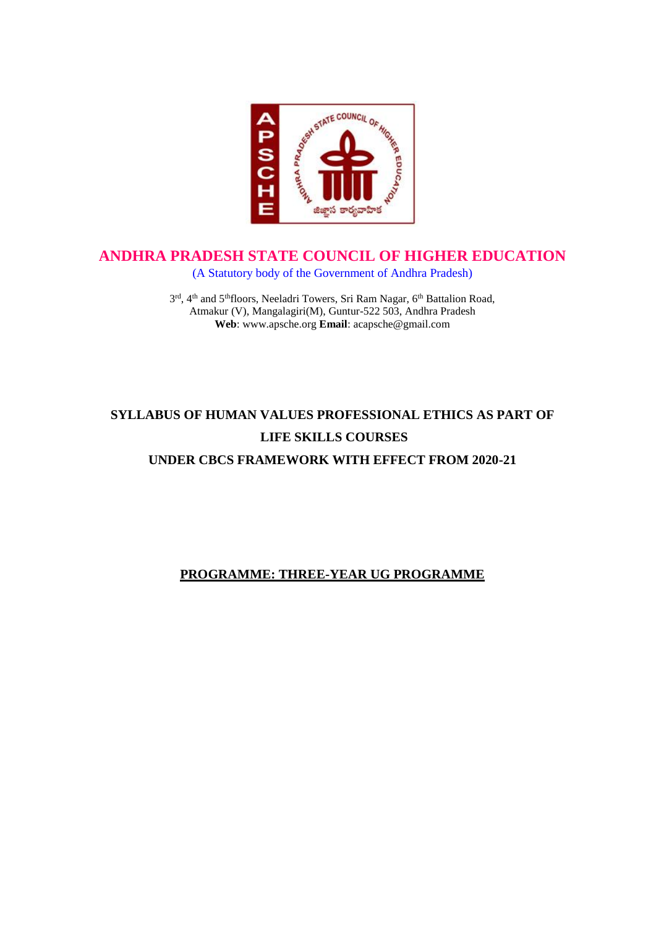

# **ANDHRA PRADESH STATE COUNCIL OF HIGHER EDUCATION**

(A Statutory body of the Government of Andhra Pradesh)

3<sup>rd</sup>, 4<sup>th</sup> and 5<sup>th</sup>floors, Neeladri Towers, Sri Ram Nagar, 6<sup>th</sup> Battalion Road, Atmakur (V), Mangalagiri(M), Guntur-522 503, Andhra Pradesh **Web**: www.apsche.org **Email**: acapsche@gmail.com

# **SYLLABUS OF HUMAN VALUES PROFESSIONAL ETHICS AS PART OF LIFE SKILLS COURSES**

**UNDER CBCS FRAMEWORK WITH EFFECT FROM 2020-21**

# **PROGRAMME: THREE-YEAR UG PROGRAMME**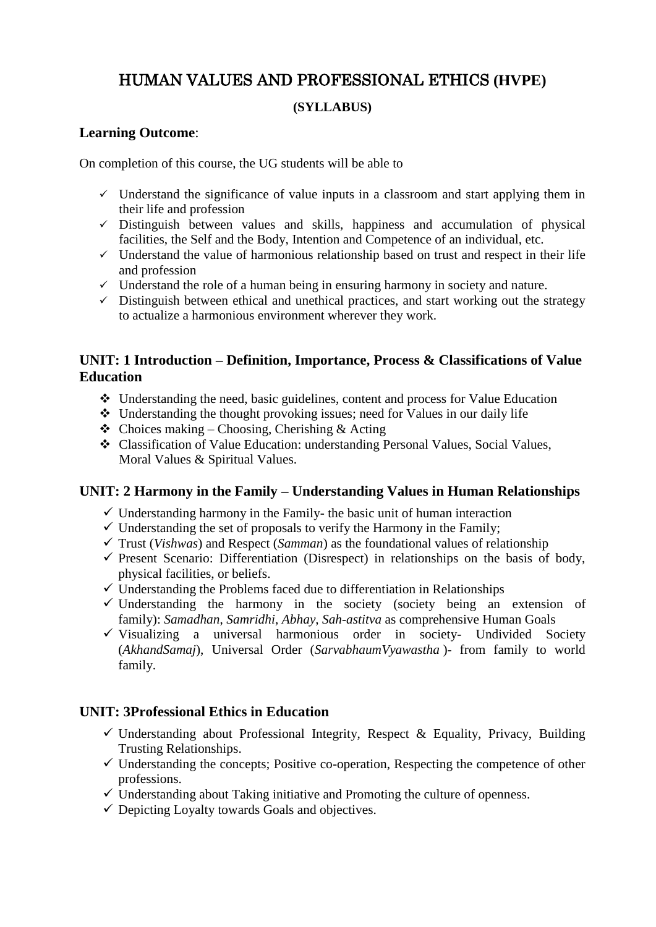# HUMAN VALUES AND PROFESSIONAL ETHICS **(HVPE)**

#### **(SYLLABUS)**

## **Learning Outcome**:

On completion of this course, the UG students will be able to

- $\checkmark$  Understand the significance of value inputs in a classroom and start applying them in their life and profession
- $\checkmark$  Distinguish between values and skills, happiness and accumulation of physical facilities, the Self and the Body, Intention and Competence of an individual, etc.
- $\checkmark$  Understand the value of harmonious relationship based on trust and respect in their life and profession
- $\checkmark$  Understand the role of a human being in ensuring harmony in society and nature.
- $\checkmark$  Distinguish between ethical and unethical practices, and start working out the strategy to actualize a harmonious environment wherever they work.

## **UNIT: 1 Introduction – Definition, Importance, Process & Classifications of Value Education**

- Understanding the need, basic guidelines, content and process for Value Education
- Understanding the thought provoking issues; need for Values in our daily life
- $\triangle$  Choices making Choosing, Cherishing & Acting
- Classification of Value Education: understanding Personal Values, Social Values, Moral Values & Spiritual Values.

#### **UNIT: 2 Harmony in the Family – Understanding Values in Human Relationships**

- $\checkmark$  Understanding harmony in the Family- the basic unit of human interaction
- $\checkmark$  Understanding the set of proposals to verify the Harmony in the Family;
- $\checkmark$  Trust (*Vishwas*) and Respect (*Samman*) as the foundational values of relationship
- $\checkmark$  Present Scenario: Differentiation (Disrespect) in relationships on the basis of body, physical facilities, or beliefs.
- $\checkmark$  Understanding the Problems faced due to differentiation in Relationships
- $\checkmark$  Understanding the harmony in the society (society being an extension of family): *Samadhan*, *Samridhi*, *Abhay*, *Sah-astitva* as comprehensive Human Goals
- $\checkmark$  Visualizing a universal harmonious order in society- Undivided Society (*AkhandSamaj*), Universal Order (*SarvabhaumVyawastha* )- from family to world family.

#### **UNIT: 3Professional Ethics in Education**

- $\checkmark$  Understanding about Professional Integrity, Respect & Equality, Privacy, Building Trusting Relationships.
- $\checkmark$  Understanding the concepts; Positive co-operation, Respecting the competence of other professions.
- $\checkmark$  Understanding about Taking initiative and Promoting the culture of openness.
- $\checkmark$  Depicting Loyalty towards Goals and objectives.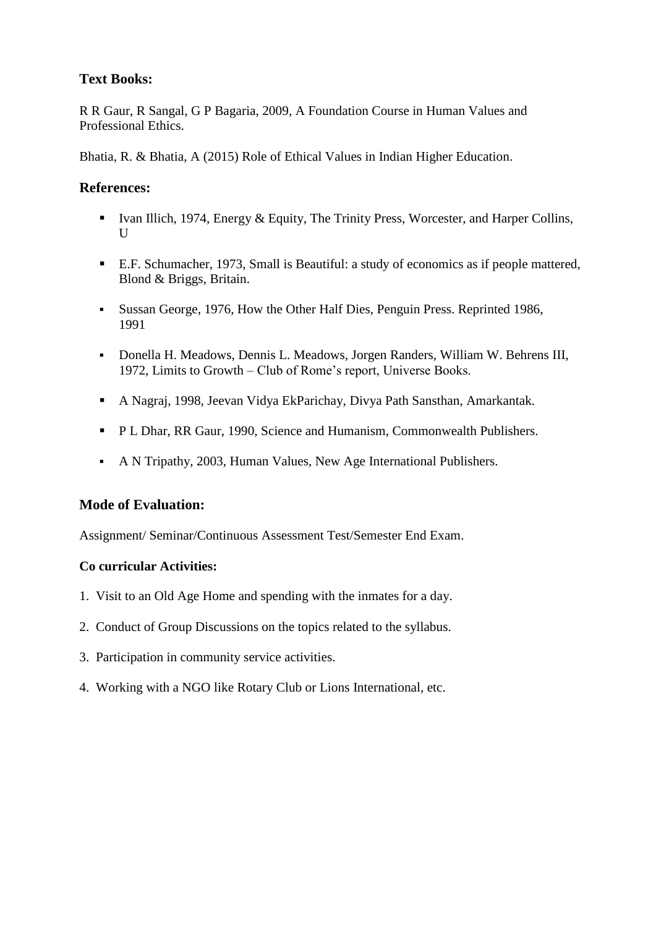## **Text Books:**

R R Gaur, R Sangal, G P Bagaria, 2009, A Foundation Course in Human Values and Professional Ethics.

Bhatia, R. & Bhatia, A (2015) Role of Ethical Values in Indian Higher Education.

#### **References:**

- Ivan Illich, 1974, Energy & Equity, The Trinity Press, Worcester, and Harper Collins,  $U$
- E.F. Schumacher, 1973, Small is Beautiful: a study of economics as if people mattered, Blond & Briggs, Britain.
- Sussan George, 1976, How the Other Half Dies, Penguin Press. Reprinted 1986, 1991
- Donella H. Meadows, Dennis L. Meadows, Jorgen Randers, William W. Behrens III, 1972, Limits to Growth – Club of Rome's report, Universe Books.
- A Nagraj, 1998, Jeevan Vidya EkParichay, Divya Path Sansthan, Amarkantak.
- **P L Dhar, RR Gaur, 1990, Science and Humanism, Commonwealth Publishers.**
- A N Tripathy, 2003, Human Values, New Age International Publishers.

#### **Mode of Evaluation:**

Assignment/ Seminar/Continuous Assessment Test/Semester End Exam.

#### **Co curricular Activities:**

- 1. Visit to an Old Age Home and spending with the inmates for a day.
- 2. Conduct of Group Discussions on the topics related to the syllabus.
- 3. Participation in community service activities.
- 4. Working with a NGO like Rotary Club or Lions International, etc.